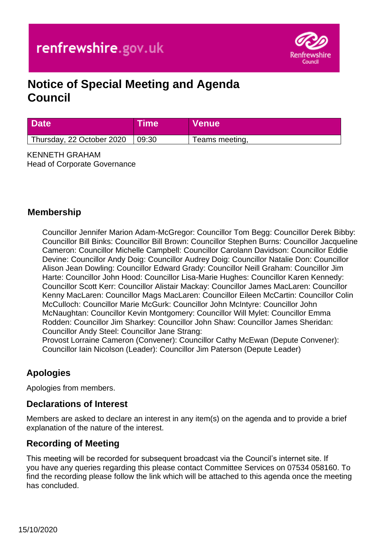

# **Notice of Special Meeting and Agenda Council**

| <b>Date</b>               | Time  | <b>Venue</b>   |
|---------------------------|-------|----------------|
| Thursday, 22 October 2020 | 09:30 | Teams meeting, |

KENNETH GRAHAM Head of Corporate Governance

### **Membership**

Councillor Jennifer Marion Adam-McGregor: Councillor Tom Begg: Councillor Derek Bibby: Councillor Bill Binks: Councillor Bill Brown: Councillor Stephen Burns: Councillor Jacqueline Cameron: Councillor Michelle Campbell: Councillor Carolann Davidson: Councillor Eddie Devine: Councillor Andy Doig: Councillor Audrey Doig: Councillor Natalie Don: Councillor Alison Jean Dowling: Councillor Edward Grady: Councillor Neill Graham: Councillor Jim Harte: Councillor John Hood: Councillor Lisa-Marie Hughes: Councillor Karen Kennedy: Councillor Scott Kerr: Councillor Alistair Mackay: Councillor James MacLaren: Councillor Kenny MacLaren: Councillor Mags MacLaren: Councillor Eileen McCartin: Councillor Colin McCulloch: Councillor Marie McGurk: Councillor John McIntyre: Councillor John McNaughtan: Councillor Kevin Montgomery: Councillor Will Mylet: Councillor Emma Rodden: Councillor Jim Sharkey: Councillor John Shaw: Councillor James Sheridan: Councillor Andy Steel: Councillor Jane Strang: Provost Lorraine Cameron (Convener): Councillor Cathy McEwan (Depute Convener): Councillor Iain Nicolson (Leader): Councillor Jim Paterson (Depute Leader)

# **Apologies**

Apologies from members.

### **Declarations of Interest**

Members are asked to declare an interest in any item(s) on the agenda and to provide a brief explanation of the nature of the interest.

### **Recording of Meeting**

This meeting will be recorded for subsequent broadcast via the Council's internet site. If you have any queries regarding this please contact Committee Services on 07534 058160. To find the recording please follow the link which will be attached to this agenda once the meeting has concluded.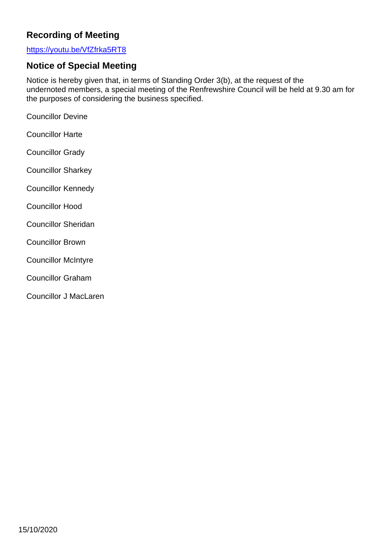# **Recording of Meeting**

#### <https://youtu.be/VfZfrka5RT8>

# **Notice of Special Meeting**

Notice is hereby given that, in terms of Standing Order 3(b), at the request of the undernoted members, a special meeting of the Renfrewshire Council will be held at 9.30 am for the purposes of considering the business specified.

Councillor Devine

- Councillor Harte
- Councillor Grady
- Councillor Sharkey
- Councillor Kennedy
- Councillor Hood
- Councillor Sheridan
- Councillor Brown
- Councillor McIntyre
- Councillor Graham
- Councillor J MacLaren